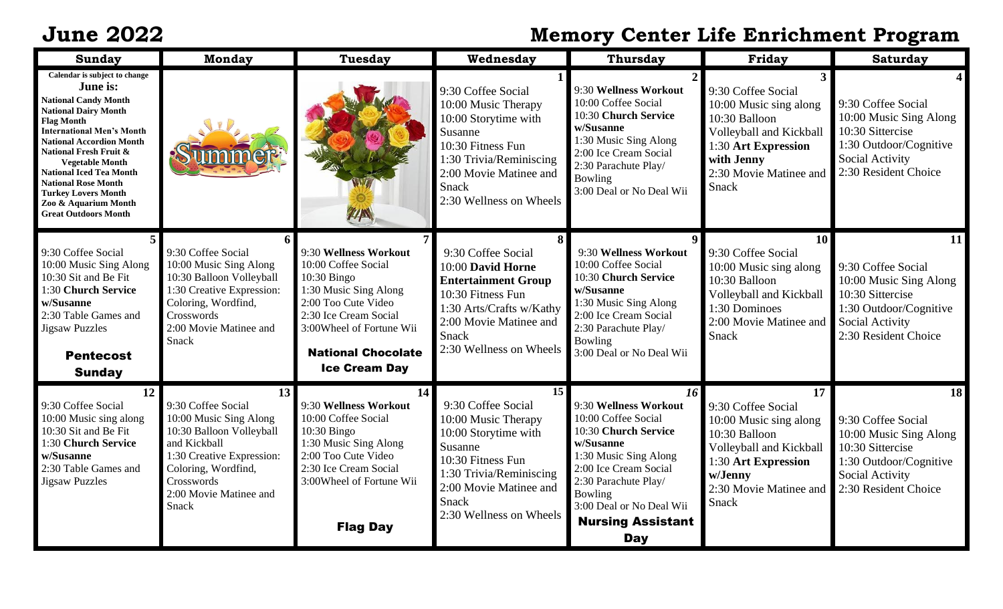## **June 2022 Memory Center Life Enrichment Program**

| <b>Sunday</b>                                                                                                                                                                                                                                                                                                                                                                                                           | <b>Monday</b>                                                                                                                                                                                       | <b>Tuesday</b>                                                                                                                                                                                                          | Wednesday                                                                                                                                                                                               | <b>Thursday</b>                                                                                                                                                                                                                                    | Friday                                                                                                                                                              | <b>Saturday</b>                                                                                                                             |
|-------------------------------------------------------------------------------------------------------------------------------------------------------------------------------------------------------------------------------------------------------------------------------------------------------------------------------------------------------------------------------------------------------------------------|-----------------------------------------------------------------------------------------------------------------------------------------------------------------------------------------------------|-------------------------------------------------------------------------------------------------------------------------------------------------------------------------------------------------------------------------|---------------------------------------------------------------------------------------------------------------------------------------------------------------------------------------------------------|----------------------------------------------------------------------------------------------------------------------------------------------------------------------------------------------------------------------------------------------------|---------------------------------------------------------------------------------------------------------------------------------------------------------------------|---------------------------------------------------------------------------------------------------------------------------------------------|
| Calendar is subject to change<br>June is:<br><b>National Candy Month</b><br><b>National Dairy Month</b><br><b>Flag Month</b><br><b>International Men's Month</b><br><b>National Accordion Month</b><br><b>National Fresh Fruit &amp;</b><br><b>Vegetable Month</b><br><b>National Iced Tea Month</b><br><b>National Rose Month</b><br><b>Turkey Lovers Month</b><br>Zoo & Aquarium Month<br><b>Great Outdoors Month</b> |                                                                                                                                                                                                     | $M_N$                                                                                                                                                                                                                   | 9:30 Coffee Social<br>10:00 Music Therapy<br>10:00 Storytime with<br>Susanne<br>10:30 Fitness Fun<br>1:30 Trivia/Reminiscing<br>2:00 Movie Matinee and<br><b>Snack</b><br>2:30 Wellness on Wheels       | 9:30 Wellness Workout<br>10:00 Coffee Social<br>10:30 Church Service<br>w/Susanne<br>1:30 Music Sing Along<br>2:00 Ice Cream Social<br>2:30 Parachute Play/<br>Bowling<br>3:00 Deal or No Deal Wii                                                 | 9:30 Coffee Social<br>10:00 Music sing along<br>10:30 Balloon<br>Volleyball and Kickball<br>1:30 Art Expression<br>with Jenny<br>2:30 Movie Matinee and<br>Snack    | 9:30 Coffee Social<br>10:00 Music Sing Along<br>10:30 Sittercise<br>1:30 Outdoor/Cognitive<br>Social Activity<br>2:30 Resident Choice       |
| 9:30 Coffee Social<br>10:00 Music Sing Along<br>10:30 Sit and Be Fit<br>1:30 Church Service<br>w/Susanne<br>2:30 Table Games and<br><b>Jigsaw Puzzles</b><br><b>Pentecost</b><br><b>Sunday</b>                                                                                                                                                                                                                          | 9:30 Coffee Social<br>10:00 Music Sing Along<br>10:30 Balloon Volleyball<br>1:30 Creative Expression:<br>Coloring, Wordfind,<br>Crosswords<br>2:00 Movie Matinee and<br>Snack                       | 9:30 Wellness Workout<br>10:00 Coffee Social<br>$10:30$ Bingo<br>1:30 Music Sing Along<br>2:00 Too Cute Video<br>2:30 Ice Cream Social<br>3:00Wheel of Fortune Wii<br><b>National Chocolate</b><br><b>Ice Cream Day</b> | 9:30 Coffee Social<br>10:00 David Horne<br><b>Entertainment Group</b><br>10:30 Fitness Fun<br>1:30 Arts/Crafts w/Kathy<br>2:00 Movie Matinee and<br>Snack<br>2:30 Wellness on Wheels                    | 9:30 Wellness Workout<br>10:00 Coffee Social<br>10:30 Church Service<br>w/Susanne<br>1:30 Music Sing Along<br>2:00 Ice Cream Social<br>2:30 Parachute Play/<br>Bowling<br>3:00 Deal or No Deal Wii                                                 | 10<br>9:30 Coffee Social<br>10:00 Music sing along<br>10:30 Balloon<br>Volleyball and Kickball<br>1:30 Dominoes<br>2:00 Movie Matinee and<br>Snack                  | 11<br>9:30 Coffee Social<br>10:00 Music Sing Along<br>10:30 Sittercise<br>1:30 Outdoor/Cognitive<br>Social Activity<br>2:30 Resident Choice |
| 12<br>9:30 Coffee Social<br>10:00 Music sing along<br>10:30 Sit and Be Fit<br>1:30 Church Service<br>w/Susanne<br>2:30 Table Games and<br><b>Jigsaw Puzzles</b>                                                                                                                                                                                                                                                         | 13<br>9:30 Coffee Social<br>10:00 Music Sing Along<br>10:30 Balloon Volleyball<br>and Kickball<br>1:30 Creative Expression:<br>Coloring, Wordfind,<br>Crosswords<br>2:00 Movie Matinee and<br>Snack | 14<br>9:30 Wellness Workout<br>10:00 Coffee Social<br>10:30 Bingo<br>1:30 Music Sing Along<br>2:00 Too Cute Video<br>2:30 Ice Cream Social<br>3:00Wheel of Fortune Wii<br><b>Flag Day</b>                               | 15<br>9:30 Coffee Social<br>10:00 Music Therapy<br>10:00 Storytime with<br>Susanne<br>10:30 Fitness Fun<br>1:30 Trivia/Reminiscing<br>2:00 Movie Matinee and<br><b>Snack</b><br>2:30 Wellness on Wheels | 16<br>9:30 Wellness Workout<br>10:00 Coffee Social<br>10:30 Church Service<br>w/Susanne<br>1:30 Music Sing Along<br>2:00 Ice Cream Social<br>2:30 Parachute Play/<br>Bowling<br>3:00 Deal or No Deal Wii<br><b>Nursing Assistant</b><br><b>Day</b> | 17<br>9:30 Coffee Social<br>10:00 Music sing along<br>10:30 Balloon<br>Volleyball and Kickball<br>1:30 Art Expression<br>w/Jenny<br>2:30 Movie Matinee and<br>Snack | 18<br>9:30 Coffee Social<br>10:00 Music Sing Along<br>10:30 Sittercise<br>1:30 Outdoor/Cognitive<br>Social Activity<br>2:30 Resident Choice |